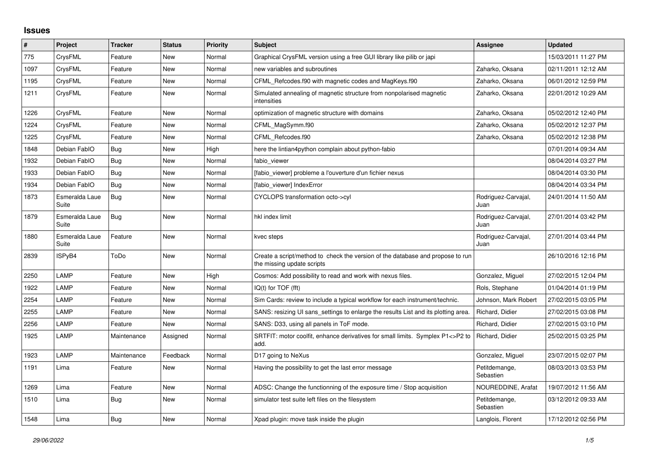## **Issues**

| #    | Project                 | <b>Tracker</b> | <b>Status</b> | <b>Priority</b> | Subject                                                                                                      | <b>Assignee</b>             | <b>Updated</b>      |
|------|-------------------------|----------------|---------------|-----------------|--------------------------------------------------------------------------------------------------------------|-----------------------------|---------------------|
| 775  | CrysFML                 | Feature        | <b>New</b>    | Normal          | Graphical CrysFML version using a free GUI library like pilib or japi                                        |                             | 15/03/2011 11:27 PM |
| 1097 | CrysFML                 | Feature        | New           | Normal          | new variables and subroutines                                                                                | Zaharko, Oksana             | 02/11/2011 12:12 AM |
| 1195 | CrysFML                 | Feature        | New           | Normal          | CFML_Refcodes.f90 with magnetic codes and MagKeys.f90                                                        | Zaharko, Oksana             | 06/01/2012 12:59 PM |
| 1211 | CrysFML                 | Feature        | <b>New</b>    | Normal          | Simulated annealing of magnetic structure from nonpolarised magnetic<br>intensities                          | Zaharko, Oksana             | 22/01/2012 10:29 AM |
| 1226 | CrysFML                 | Feature        | <b>New</b>    | Normal          | optimization of magnetic structure with domains                                                              | Zaharko, Oksana             | 05/02/2012 12:40 PM |
| 1224 | CrysFML                 | Feature        | New           | Normal          | CFML_MagSymm.f90                                                                                             | Zaharko, Oksana             | 05/02/2012 12:37 PM |
| 1225 | CrysFML                 | Feature        | New           | Normal          | CFML Refcodes.f90                                                                                            | Zaharko, Oksana             | 05/02/2012 12:38 PM |
| 1848 | Debian FablO            | <b>Bug</b>     | <b>New</b>    | High            | here the lintian4python complain about python-fabio                                                          |                             | 07/01/2014 09:34 AM |
| 1932 | Debian FablO            | Bug            | New           | Normal          | fabio viewer                                                                                                 |                             | 08/04/2014 03:27 PM |
| 1933 | Debian FablO            | <b>Bug</b>     | New           | Normal          | [fabio viewer] probleme a l'ouverture d'un fichier nexus                                                     |                             | 08/04/2014 03:30 PM |
| 1934 | Debian FablO            | Bug            | New           | Normal          | [fabio viewer] IndexError                                                                                    |                             | 08/04/2014 03:34 PM |
| 1873 | Esmeralda Laue<br>Suite | <b>Bug</b>     | <b>New</b>    | Normal          | CYCLOPS transformation octo->cyl                                                                             | Rodriguez-Carvajal,<br>Juan | 24/01/2014 11:50 AM |
| 1879 | Esmeralda Laue<br>Suite | Bug            | <b>New</b>    | Normal          | hkl index limit                                                                                              | Rodriguez-Carvajal,<br>Juan | 27/01/2014 03:42 PM |
| 1880 | Esmeralda Laue<br>Suite | Feature        | <b>New</b>    | Normal          | kvec steps                                                                                                   | Rodriguez-Carvajal,<br>Juan | 27/01/2014 03:44 PM |
| 2839 | ISPyB4                  | ToDo           | New           | Normal          | Create a script/method to check the version of the database and propose to run<br>the missing update scripts |                             | 26/10/2016 12:16 PM |
| 2250 | LAMP                    | Feature        | <b>New</b>    | High            | Cosmos: Add possibility to read and work with nexus files.                                                   | Gonzalez, Miguel            | 27/02/2015 12:04 PM |
| 1922 | LAMP                    | Feature        | New           | Normal          | $IQ(t)$ for $TOF$ (fft)                                                                                      | Rols, Stephane              | 01/04/2014 01:19 PM |
| 2254 | LAMP                    | Feature        | <b>New</b>    | Normal          | Sim Cards: review to include a typical workflow for each instrument/technic.                                 | Johnson, Mark Robert        | 27/02/2015 03:05 PM |
| 2255 | LAMP                    | Feature        | New           | Normal          | SANS: resizing UI sans settings to enlarge the results List and its plotting area.                           | Richard, Didier             | 27/02/2015 03:08 PM |
| 2256 | LAMP                    | Feature        | New           | Normal          | SANS: D33, using all panels in ToF mode.                                                                     | Richard, Didier             | 27/02/2015 03:10 PM |
| 1925 | LAMP                    | Maintenance    | Assigned      | Normal          | SRTFIT: motor coolfit, enhance derivatives for small limits. Symplex P1<>P2 to<br>add.                       | Richard, Didier             | 25/02/2015 03:25 PM |
| 1923 | LAMP                    | Maintenance    | Feedback      | Normal          | D17 going to NeXus                                                                                           | Gonzalez, Miguel            | 23/07/2015 02:07 PM |
| 1191 | Lima                    | Feature        | New           | Normal          | Having the possibility to get the last error message                                                         | Petitdemange,<br>Sebastien  | 08/03/2013 03:53 PM |
| 1269 | Lima                    | Feature        | New           | Normal          | ADSC: Change the functionning of the exposure time / Stop acquisition                                        | NOUREDDINE, Arafat          | 19/07/2012 11:56 AM |
| 1510 | Lima                    | <b>Bug</b>     | New           | Normal          | simulator test suite left files on the filesystem                                                            | Petitdemange,<br>Sebastien  | 03/12/2012 09:33 AM |
| 1548 | Lima                    | <b>Bug</b>     | New           | Normal          | Xpad plugin: move task inside the plugin                                                                     | Langlois, Florent           | 17/12/2012 02:56 PM |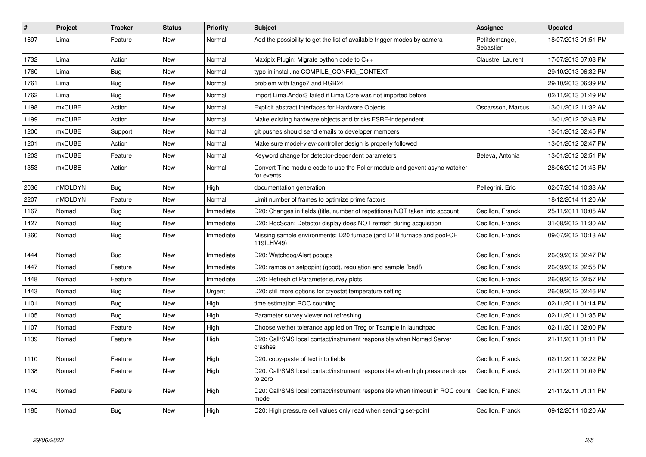| #    | <b>Project</b> | <b>Tracker</b> | <b>Status</b> | <b>Priority</b> | <b>Subject</b>                                                                           | Assignee                   | <b>Updated</b>      |
|------|----------------|----------------|---------------|-----------------|------------------------------------------------------------------------------------------|----------------------------|---------------------|
| 1697 | Lima           | Feature        | New           | Normal          | Add the possibility to get the list of available trigger modes by camera                 | Petitdemange,<br>Sebastien | 18/07/2013 01:51 PM |
| 1732 | Lima           | Action         | New           | Normal          | Maxipix Plugin: Migrate python code to $C_{++}$                                          | Claustre, Laurent          | 17/07/2013 07:03 PM |
| 1760 | Lima           | <b>Bug</b>     | New           | Normal          | typo in install.inc COMPILE_CONFIG_CONTEXT                                               |                            | 29/10/2013 06:32 PM |
| 1761 | Lima           | <b>Bug</b>     | New           | Normal          | problem with tango7 and RGB24                                                            |                            | 29/10/2013 06:39 PM |
| 1762 | Lima           | <b>Bug</b>     | New           | Normal          | import Lima. Andor3 failed if Lima. Core was not imported before                         |                            | 02/11/2013 01:49 PM |
| 1198 | <b>mxCUBE</b>  | Action         | New           | Normal          | Explicit abstract interfaces for Hardware Objects                                        | Oscarsson, Marcus          | 13/01/2012 11:32 AM |
| 1199 | <b>mxCUBE</b>  | Action         | New           | Normal          | Make existing hardware objects and bricks ESRF-independent                               |                            | 13/01/2012 02:48 PM |
| 1200 | <b>mxCUBE</b>  | Support        | <b>New</b>    | Normal          | git pushes should send emails to developer members                                       |                            | 13/01/2012 02:45 PM |
| 1201 | mxCUBE         | Action         | New           | Normal          | Make sure model-view-controller design is properly followed                              |                            | 13/01/2012 02:47 PM |
| 1203 | <b>mxCUBE</b>  | Feature        | New           | Normal          | Keyword change for detector-dependent parameters                                         | Beteva, Antonia            | 13/01/2012 02:51 PM |
| 1353 | <b>mxCUBE</b>  | Action         | New           | Normal          | Convert Tine module code to use the Poller module and gevent async watcher<br>for events |                            | 28/06/2012 01:45 PM |
| 2036 | nMOLDYN        | Bug            | New           | High            | documentation generation                                                                 | Pellegrini, Eric           | 02/07/2014 10:33 AM |
| 2207 | nMOLDYN        | Feature        | New           | Normal          | Limit number of frames to optimize prime factors                                         |                            | 18/12/2014 11:20 AM |
| 1167 | Nomad          | <b>Bug</b>     | New           | Immediate       | D20: Changes in fields (title, number of repetitions) NOT taken into account             | Cecillon, Franck           | 25/11/2011 10:05 AM |
| 1427 | Nomad          | <b>Bug</b>     | New           | Immediate       | D20: RocScan: Detector display does NOT refresh during acquisition                       | Cecillon, Franck           | 31/08/2012 11:30 AM |
| 1360 | Nomad          | Bug            | New           | Immediate       | Missing sample environments: D20 furnace (and D1B furnace and pool-CF<br>119ILHV49)      | Cecillon, Franck           | 09/07/2012 10:13 AM |
| 1444 | Nomad          | Bug            | New           | Immediate       | D20: Watchdog/Alert popups                                                               | Cecillon, Franck           | 26/09/2012 02:47 PM |
| 1447 | Nomad          | Feature        | New           | Immediate       | D20: ramps on setpopint (good), regulation and sample (bad!)                             | Cecillon, Franck           | 26/09/2012 02:55 PM |
| 1448 | Nomad          | Feature        | New           | Immediate       | D20: Refresh of Parameter survey plots                                                   | Cecillon, Franck           | 26/09/2012 02:57 PM |
| 1443 | Nomad          | Bug            | New           | Urgent          | D20: still more options for cryostat temperature setting                                 | Cecillon, Franck           | 26/09/2012 02:46 PM |
| 1101 | Nomad          | Bug            | New           | High            | time estimation ROC counting                                                             | Cecillon, Franck           | 02/11/2011 01:14 PM |
| 1105 | Nomad          | Bug            | New           | High            | Parameter survey viewer not refreshing                                                   | Cecillon, Franck           | 02/11/2011 01:35 PM |
| 1107 | Nomad          | Feature        | <b>New</b>    | High            | Choose wether tolerance applied on Treg or Tsample in launchpad                          | Cecillon, Franck           | 02/11/2011 02:00 PM |
| 1139 | Nomad          | Feature        | New           | High            | D20: Call/SMS local contact/instrument responsible when Nomad Server<br>crashes          | Cecillon, Franck           | 21/11/2011 01:11 PM |
| 1110 | Nomad          | Feature        | New           | High            | D20: copy-paste of text into fields                                                      | Cecillon, Franck           | 02/11/2011 02:22 PM |
| 1138 | Nomad          | Feature        | New           | High            | D20: Call/SMS local contact/instrument responsible when high pressure drops<br>to zero   | Cecillon, Franck           | 21/11/2011 01:09 PM |
| 1140 | Nomad          | Feature        | New           | High            | D20: Call/SMS local contact/instrument responsible when timeout in ROC count<br>mode     | Cecillon, Franck           | 21/11/2011 01:11 PM |
| 1185 | Nomad          | Bug            | New           | High            | D20: High pressure cell values only read when sending set-point                          | Cecillon, Franck           | 09/12/2011 10:20 AM |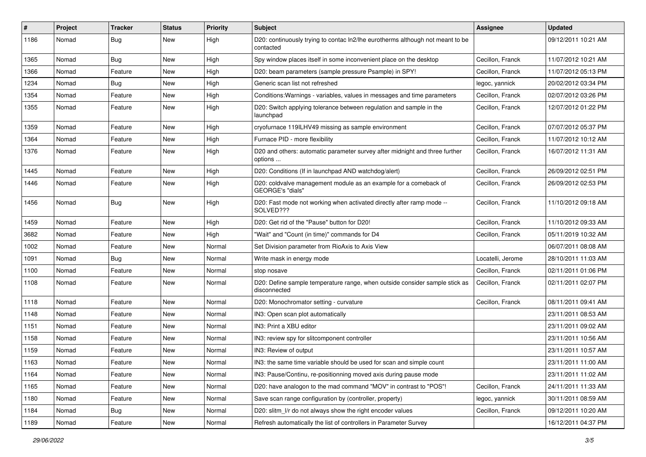| #    | Project | <b>Tracker</b> | <b>Status</b> | Priority | <b>Subject</b>                                                                              | <b>Assignee</b>   | <b>Updated</b>      |
|------|---------|----------------|---------------|----------|---------------------------------------------------------------------------------------------|-------------------|---------------------|
| 1186 | Nomad   | <b>Bug</b>     | New           | High     | D20: continuously trying to contac ln2/lhe eurotherms although not meant to be<br>contacted |                   | 09/12/2011 10:21 AM |
| 1365 | Nomad   | <b>Bug</b>     | New           | High     | Spy window places itself in some inconvenient place on the desktop                          | Cecillon, Franck  | 11/07/2012 10:21 AM |
| 1366 | Nomad   | Feature        | New           | High     | D20: beam parameters (sample pressure Psample) in SPY!                                      | Cecillon, Franck  | 11/07/2012 05:13 PM |
| 1234 | Nomad   | <b>Bug</b>     | New           | High     | Generic scan list not refreshed                                                             | legoc, yannick    | 20/02/2012 03:34 PM |
| 1354 | Nomad   | Feature        | New           | High     | Conditions: Warnings - variables, values in messages and time parameters                    | Cecillon, Franck  | 02/07/2012 03:26 PM |
| 1355 | Nomad   | Feature        | New           | High     | D20: Switch applying tolerance between regulation and sample in the<br>launchpad            | Cecillon, Franck  | 12/07/2012 01:22 PM |
| 1359 | Nomad   | Feature        | New           | High     | cryofurnace 119ILHV49 missing as sample environment                                         | Cecillon, Franck  | 07/07/2012 05:37 PM |
| 1364 | Nomad   | Feature        | New           | High     | Furnace PID - more flexibility                                                              | Cecillon, Franck  | 11/07/2012 10:12 AM |
| 1376 | Nomad   | Feature        | New           | High     | D20 and others: automatic parameter survey after midnight and three further<br>options      | Cecillon, Franck  | 16/07/2012 11:31 AM |
| 1445 | Nomad   | Feature        | New           | High     | D20: Conditions (If in launchpad AND watchdog/alert)                                        | Cecillon, Franck  | 26/09/2012 02:51 PM |
| 1446 | Nomad   | Feature        | New           | High     | D20: coldvalve management module as an example for a comeback of<br>GEORGE's "dials"        | Cecillon, Franck  | 26/09/2012 02:53 PM |
| 1456 | Nomad   | Bug            | <b>New</b>    | High     | D20: Fast mode not working when activated directly after ramp mode --<br>SOLVED???          | Cecillon, Franck  | 11/10/2012 09:18 AM |
| 1459 | Nomad   | Feature        | <b>New</b>    | High     | D20: Get rid of the "Pause" button for D20!                                                 | Cecillon, Franck  | 11/10/2012 09:33 AM |
| 3682 | Nomad   | Feature        | New           | High     | "Wait" and "Count (in time)" commands for D4                                                | Cecillon, Franck  | 05/11/2019 10:32 AM |
| 1002 | Nomad   | Feature        | New           | Normal   | Set Division parameter from RioAxis to Axis View                                            |                   | 06/07/2011 08:08 AM |
| 1091 | Nomad   | <b>Bug</b>     | New           | Normal   | Write mask in energy mode                                                                   | Locatelli, Jerome | 28/10/2011 11:03 AM |
| 1100 | Nomad   | Feature        | <b>New</b>    | Normal   | stop nosave                                                                                 | Cecillon, Franck  | 02/11/2011 01:06 PM |
| 1108 | Nomad   | Feature        | New           | Normal   | D20: Define sample temperature range, when outside consider sample stick as<br>disconnected | Cecillon, Franck  | 02/11/2011 02:07 PM |
| 1118 | Nomad   | Feature        | New           | Normal   | D20: Monochromator setting - curvature                                                      | Cecillon, Franck  | 08/11/2011 09:41 AM |
| 1148 | Nomad   | Feature        | New           | Normal   | IN3: Open scan plot automatically                                                           |                   | 23/11/2011 08:53 AM |
| 1151 | Nomad   | Feature        | New           | Normal   | IN3: Print a XBU editor                                                                     |                   | 23/11/2011 09:02 AM |
| 1158 | Nomad   | Feature        | New           | Normal   | IN3: review spy for slitcomponent controller                                                |                   | 23/11/2011 10:56 AM |
| 1159 | Nomad   | Feature        | New           | Normal   | IN3: Review of output                                                                       |                   | 23/11/2011 10:57 AM |
| 1163 | Nomad   | Feature        | New           | Normal   | IN3: the same time variable should be used for scan and simple count                        |                   | 23/11/2011 11:00 AM |
| 1164 | Nomad   | Feature        | New           | Normal   | IN3: Pause/Continu, re-positionning moved axis during pause mode                            |                   | 23/11/2011 11:02 AM |
| 1165 | Nomad   | Feature        | New           | Normal   | D20: have analogon to the mad command "MOV" in contrast to "POS"!                           | Cecillon, Franck  | 24/11/2011 11:33 AM |
| 1180 | Nomad   | Feature        | New           | Normal   | Save scan range configuration by (controller, property)                                     | legoc, yannick    | 30/11/2011 08:59 AM |
| 1184 | Nomad   | Bug            | New           | Normal   | D20: slitm I/r do not always show the right encoder values                                  | Cecillon, Franck  | 09/12/2011 10:20 AM |
| 1189 | Nomad   | Feature        | New           | Normal   | Refresh automatically the list of controllers in Parameter Survey                           |                   | 16/12/2011 04:37 PM |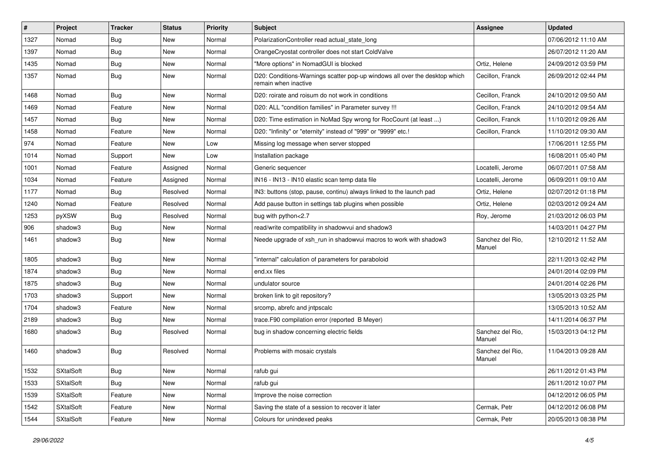| #    | Project          | <b>Tracker</b> | <b>Status</b> | <b>Priority</b> | <b>Subject</b>                                                                                     | <b>Assignee</b>            | <b>Updated</b>      |
|------|------------------|----------------|---------------|-----------------|----------------------------------------------------------------------------------------------------|----------------------------|---------------------|
| 1327 | Nomad            | Bug            | New           | Normal          | PolarizationController read actual_state_long                                                      |                            | 07/06/2012 11:10 AM |
| 1397 | Nomad            | Bug            | <b>New</b>    | Normal          | OrangeCryostat controller does not start ColdValve                                                 |                            | 26/07/2012 11:20 AM |
| 1435 | Nomad            | <b>Bug</b>     | New           | Normal          | "More options" in NomadGUI is blocked                                                              | Ortiz, Helene              | 24/09/2012 03:59 PM |
| 1357 | Nomad            | <b>Bug</b>     | New           | Normal          | D20: Conditions-Warnings scatter pop-up windows all over the desktop which<br>remain when inactive | Cecillon, Franck           | 26/09/2012 02:44 PM |
| 1468 | Nomad            | Bug            | New           | Normal          | D20: roirate and roisum do not work in conditions                                                  | Cecillon, Franck           | 24/10/2012 09:50 AM |
| 1469 | Nomad            | Feature        | New           | Normal          | D20: ALL "condition families" in Parameter survey !!!                                              | Cecillon, Franck           | 24/10/2012 09:54 AM |
| 1457 | Nomad            | <b>Bug</b>     | New           | Normal          | D20: Time estimation in NoMad Spy wrong for RocCount (at least )                                   | Cecillon, Franck           | 11/10/2012 09:26 AM |
| 1458 | Nomad            | Feature        | New           | Normal          | D20: "Infinity" or "eternity" instead of "999" or "9999" etc.!                                     | Cecillon, Franck           | 11/10/2012 09:30 AM |
| 974  | Nomad            | Feature        | <b>New</b>    | Low             | Missing log message when server stopped                                                            |                            | 17/06/2011 12:55 PM |
| 1014 | Nomad            | Support        | New           | Low             | Installation package                                                                               |                            | 16/08/2011 05:40 PM |
| 1001 | Nomad            | Feature        | Assigned      | Normal          | Generic sequencer                                                                                  | Locatelli, Jerome          | 06/07/2011 07:58 AM |
| 1034 | Nomad            | Feature        | Assigned      | Normal          | IN16 - IN13 - IN10 elastic scan temp data file                                                     | Locatelli, Jerome          | 06/09/2011 09:10 AM |
| 1177 | Nomad            | Bug            | Resolved      | Normal          | IN3: buttons (stop, pause, continu) always linked to the launch pad                                | Ortiz, Helene              | 02/07/2012 01:18 PM |
| 1240 | Nomad            | Feature        | Resolved      | Normal          | Add pause button in settings tab plugins when possible                                             | Ortiz, Helene              | 02/03/2012 09:24 AM |
| 1253 | pyXSW            | <b>Bug</b>     | Resolved      | Normal          | bug with python<2.7                                                                                | Roy, Jerome                | 21/03/2012 06:03 PM |
| 906  | shadow3          | <b>Bug</b>     | New           | Normal          | read/write compatibility in shadowvui and shadow3                                                  |                            | 14/03/2011 04:27 PM |
| 1461 | shadow3          | Bug            | New           | Normal          | Neede upgrade of xsh_run in shadowvui macros to work with shadow3                                  | Sanchez del Rio,<br>Manuel | 12/10/2012 11:52 AM |
| 1805 | shadow3          | Bug            | New           | Normal          | "internal" calculation of parameters for paraboloid                                                |                            | 22/11/2013 02:42 PM |
| 1874 | shadow3          | <b>Bug</b>     | New           | Normal          | end.xx files                                                                                       |                            | 24/01/2014 02:09 PM |
| 1875 | shadow3          | Bug            | New           | Normal          | undulator source                                                                                   |                            | 24/01/2014 02:26 PM |
| 1703 | shadow3          | Support        | New           | Normal          | broken link to git repository?                                                                     |                            | 13/05/2013 03:25 PM |
| 1704 | shadow3          | Feature        | New           | Normal          | srcomp, abrefc and intpscalc                                                                       |                            | 13/05/2013 10:52 AM |
| 2189 | shadow3          | <b>Bug</b>     | New           | Normal          | trace.F90 compilation error (reported B Meyer)                                                     |                            | 14/11/2014 06:37 PM |
| 1680 | shadow3          | Bug            | Resolved      | Normal          | bug in shadow concerning electric fields                                                           | Sanchez del Rio,<br>Manuel | 15/03/2013 04:12 PM |
| 1460 | shadow3          | Bug            | Resolved      | Normal          | Problems with mosaic crystals                                                                      | Sanchez del Rio.<br>Manuel | 11/04/2013 09:28 AM |
| 1532 | <b>SXtalSoft</b> | <b>Bug</b>     | New           | Normal          | rafub gui                                                                                          |                            | 26/11/2012 01:43 PM |
| 1533 | <b>SXtalSoft</b> | Bug            | New           | Normal          | rafub gui                                                                                          |                            | 26/11/2012 10:07 PM |
| 1539 | SXtalSoft        | Feature        | New           | Normal          | Improve the noise correction                                                                       |                            | 04/12/2012 06:05 PM |
| 1542 | <b>SXtalSoft</b> | Feature        | New           | Normal          | Saving the state of a session to recover it later                                                  | Cermak, Petr               | 04/12/2012 06:08 PM |
| 1544 | SXtalSoft        | Feature        | New           | Normal          | Colours for unindexed peaks                                                                        | Cermak, Petr               | 20/05/2013 08:38 PM |